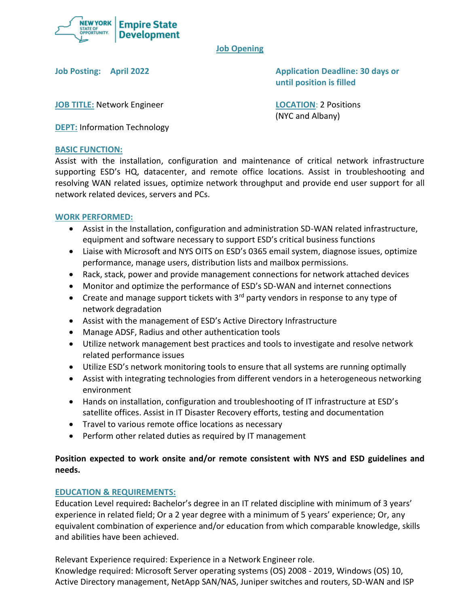

#### **Job Opening**

**Job Posting: April 2022 Application Deadline: 30 days or until position is filled**

**JOB TITLE:** Network Engineer **LOCATION**: 2 Positions

(NYC and Albany)

**DEPT:** Information Technology

## **BASIC FUNCTION:**

Assist with the installation, configuration and maintenance of critical network infrastructure supporting ESD's HQ, datacenter, and remote office locations. Assist in troubleshooting and resolving WAN related issues, optimize network throughput and provide end user support for all network related devices, servers and PCs.

## **WORK PERFORMED:**

- Assist in the Installation, configuration and administration SD-WAN related infrastructure, equipment and software necessary to support ESD's critical business functions
- Liaise with Microsoft and NYS OITS on ESD's 0365 email system, diagnose issues, optimize performance, manage users, distribution lists and mailbox permissions.
- Rack, stack, power and provide management connections for network attached devices
- Monitor and optimize the performance of ESD's SD-WAN and internet connections
- Create and manage support tickets with  $3<sup>rd</sup>$  party vendors in response to any type of network degradation
- Assist with the management of ESD's Active Directory Infrastructure
- Manage ADSF, Radius and other authentication tools
- Utilize network management best practices and tools to investigate and resolve network related performance issues
- Utilize ESD's network monitoring tools to ensure that all systems are running optimally
- Assist with integrating technologies from different vendors in a heterogeneous networking environment
- Hands on installation, configuration and troubleshooting of IT infrastructure at ESD's satellite offices. Assist in IT Disaster Recovery efforts, testing and documentation
- Travel to various remote office locations as necessary
- Perform other related duties as required by IT management

# **Position expected to work onsite and/or remote consistent with NYS and ESD guidelines and needs.**

## **EDUCATION & REQUIREMENTS:**

Education Level required**:** Bachelor's degree in an IT related discipline with minimum of 3 years' experience in related field; Or a 2 year degree with a minimum of 5 years' experience; Or, any equivalent combination of experience and/or education from which comparable knowledge, skills and abilities have been achieved.

Relevant Experience required: Experience in a Network Engineer role. Knowledge required: Microsoft Server operating systems (OS) 2008 - 2019, Windows (OS) 10, Active Directory management, NetApp SAN/NAS, Juniper switches and routers, SD-WAN and ISP